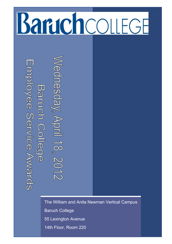# **Bartchco** FGF

Employee Service Awards **Baruch College** 

**Gonesday. Ap** ril 18, 2012

The William and Anita Newman Vertical Campus Baruch College 55 Lexington Avenue 14th Floor, Room 220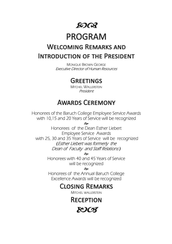# SO QP

# **PROGRAM**

# **WELCOMING REMARKS AND INTRODUCTION OF THE PRESIDENT**

MONIQUE BROWN GEORGE Executive Director of Human Resources

# **GREETINGS**

MITCHEL WALLERSTEIN President

# **AWARDS CEREMONY**

Honorees of the Baruch College Employee Service Awards with 10,15 and 20 Years of Service will be recognized

ત્રે

Honorees of the Dean Esther Liebert Employee Service Awards with 25, 30 and 35 Years of Service will be recognized *(*Esther Liebert was formerly the Dean of Faculty and Staff Relations *)*

 $\sim$ 

Honorees with 40 and 45 Years of Service will be recognized

কৈ

Honorees of the Annual Baruch College Excellence Awards will be recognized

# **CLOSING REMARKS**

MITCHEL WALLERSTEIN

**RECEPTION** 

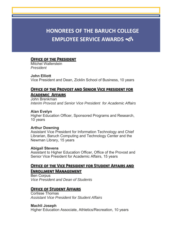# **HONOREES OF THE BARUCH COLLEGE EMPLOYEE SERVICE AWARDS**

# **OFFICE OF THE PRESIDENT**

Mitchel Wallerstein *President* 

# **John Elliott**

Vice President and Dean, Zicklin School of Business, 10 years

# **OFFICE OF THE PROVOST AND SENIOR VICE PRESIDENT FOR ACADEMIC AFFAIRS**

John Brenkman *Interim Provost and Senior Vice President for Academic Affairs* 

# **Alan Evelyn**

Higher Education Officer, Sponsored Programs and Research, 10 years

# **Arthur Downing**

Assistant Vice President for Information Technology and Chief Librarian, Baruch Computing and Technology Center and the Newman Library, 15 years

# **Abigail Stevens**

Assistant to Higher Education Officer, Office of the Provost and Senior Vice President for Academic Affairs, 15 years

# **OFFICE OF THE VICE PRESIDENT FOR STUDENT AFFAIRS AND ENROLLMENT MANAGEMENT**

Ben Corpus *Vice President and Dean of Students* 

# **OFFICE OF STUDENT AFFAIRS**

Corlisse Thomas *Assistant Vice President for Student Affairs* 

# **Machli Joseph**

Higher Education Associate, Athletics/Recreation, 10 years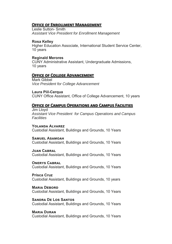# **OFFICE OF ENROLLMENT MANAGEMENT**

Leslie Sutton- Smith *Assistant Vice President for Enrollment Management* 

### **Rosa Kelley**

Higher Education Associate, International Student Service Center, 10 years

# **Reginald Merores**

CUNY Administrative Assistant, Undergraduate Admissions, 10 years

# **OFFICE OF COLLEGE ADVANCEMENT**

Mark Gibbel *Vice President for College Advancement* 

#### **Laura Piil-Cerqua**

CUNY Office Assistant, Office of College Advancement, 10 years

# **OFFICE OF CAMPUS OPERATIONS AND CAMPUS FACILITIES**

Jim Lloyd *Assistant Vice President for Campus Operations and Campus Facilities* 

### YOI ANDA AI VARFZ

Custodial Assistant, Buildings and Grounds, 10 Years

### SAMUEL ASAMOAH

Custodial Assistant, Buildings and Grounds, 10 Years

#### **JUAN CABRAL**

Custodial Assistant, Buildings and Grounds, 10 Years

#### **ONERYS CABRAL**

Custodial Assistant, Buildings and Grounds, 10 Years

#### **Prisca Cruz**

Custodial Assistant, Buildings and Grounds, 10 years

#### **MARIA DEBORD**

Custodial Assistant, Buildings and Grounds, 10 Years

# **SANDRA DE LOS SANTOS**

Custodial Assistant, Buildings and Grounds, 10 Years

# **MARIA DURAN**

Custodial Assistant, Buildings and Grounds, 10 Years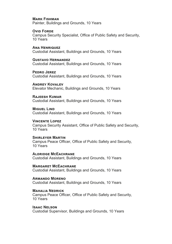### **MARK FISHMAN**

Painter, Buildings and Grounds, 10 Years

#### **OVID FORDE**

Campus Security Specialist, Office of Public Safety and Security, 10 Years

**ANA HENRIQUEZ** Custodial Assistant, Buildings and Grounds, 10 Years

**GUSTAVO HERNANDEZ** Custodial Assistant, Buildings and Grounds, 10 Years

**PEDRO JEREZ** Custodial Assistant, Buildings and Grounds, 10 Years

**ANDREY KOVALEV** Elevator Mechanic, Buildings and Grounds, 10 Years

**RAJEESH KUMAR** Custodial Assistant, Buildings and Grounds, 10 Years

**MIGUEL LIND** Custodial Assistant, Buildings and Grounds, 10 Years

**VINCENTE LOPEZ** Campus Security Assistant, Office of Public Safety and Security, 10 Years

**SHIRLEYER MARTIN** Campus Peace Officer, Office of Public Safety and Security, 10 Years

**ALDRIDGE MCEACHRANE** Custodial Assistant, Buildings and Grounds, 10 Years

**MARGARET MCEACHRANE** Custodial Assistant, Buildings and Grounds, 10 Years

**ARMANDO MORENO** Custodial Assistant, Buildings and Grounds, 10 Years

**MAHALIA NEDRICK** Campus Peace Officer, Office of Public Safety and Security, 10 Years

**ISAAC NELSON** 

Custodial Supervisor, Buildings and Grounds, 10 Years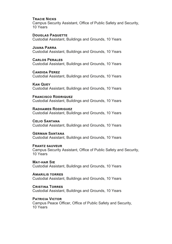#### **TRACIE NICKS**

Campus Security Assistant, Office of Public Safety and Security, 10 Years

# **DOUGLAS PAQUETTE**

Custodial Assistant, Buildings and Grounds, 10 Years

#### **JUANA PARRA**

Custodial Assistant, Buildings and Grounds, 10 Years

# **CARLOS PERALES**

Custodial Assistant, Buildings and Grounds, 10 Years

#### **CANDIDA PEREZ**

Custodial Assistant, Buildings and Grounds, 10 Years

#### **KAN QUEY**

Custodial Assistant, Buildings and Grounds, 10 Years

#### **FRANCISCO RODRIQUEZ**

Custodial Assistant, Buildings and Grounds, 10 Years

#### **RADHAMES RODRIGUEZ**

Custodial Assistant, Buildings and Grounds, 10 Years

# **CELIO SANTANA**

Custodial Assistant, Buildings and Grounds, 10 Years

# **GERMAN SANTANA**

Custodial Assistant, Buildings and Grounds, 10 Years

# **FRANTZ SAUVEUR**

Campus Security Assistant, Office of Public Safety and Security, 10 Years

#### **MAY-HAR SIE** Custodial Assistant, Buildings and Grounds, 10 Years

**AMARILIS TORRES** Custodial Assistant, Buildings and Grounds, 10 Years

#### **CRISTINA TORRES**

Custodial Assistant, Buildings and Grounds, 10 Years

# **PATRICIA VICTOR**

Campus Peace Officer, Office of Public Safety and Security, 10 Years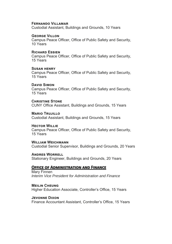#### **FERNANDO VILLAMAR**

Custodial Assistant, Buildings and Grounds, 10 Years

#### **GEORGE VILLON**

Campus Peace Officer, Office of Public Safety and Security, 10 Years

#### **RICHARD ESSIEN**

Campus Peace Officer, Office of Public Safety and Security, 15 Years

#### **SUSAN HENRY**

Campus Peace Officer, Office of Public Safety and Security, 15 Years

#### **DAVID SIMON**

Campus Peace Officer, Office of Public Safety and Security, 15 Years

**CHRISTINE STONE** CUNY Office Assistant, Buildings and Grounds, 15 Years

**MARIO TRUJILLO** Custodial Assistant, Buildings and Grounds, 15 Years

#### **HECTOR WILLIE**

Campus Peace Officer, Office of Public Safety and Security, 15 Years

**WILLIAM WEICHMANN** Custodial Senior Supervisor, Buildings and Grounds, 20 Years

**ANDRES WORRELL** Stationary Engineer, Buildings and Grounds, 20 Years

# **OFFICE OF ADMINISTRATION AND FINANCE**

Mary Finnen *Interim Vice President for Administration and Finance* 

**MEILIN CHEUNG** Higher Education Associate, Controller's Office, 15 Years

**JEVONNE DIXON** Finance Accountant Assistant, Controller's Office, 15 Years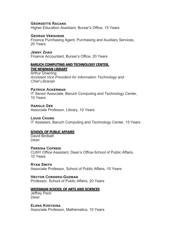### **GEORGETTE RACANA**

Higher Education Assistant, Bursar's Office, 15 Years

#### **GEORGE VERGHESE**

Finance Purchasing Agent, Purchasing and Auxiliary Services, 20 Years

# **JENNY ZHAO**

Finance Accountant, Bursar's Office, 20 Years

#### **BARUCH COMPUTING AND TECHNOLOGY CENTER,** THE NEWMAN LIBRARY

Arthur Downing *Assistant Vice President for Information Technology and Chief Librarian* 

#### **PATRICK ACKERMAN**

IT Senior Associate, Baruch Computing and Technology Center, 10 Years

#### **HAROLD GFF** Associate Professor, Library, 10 Years

#### **LOUIS CHUNG**

IT Assistant, Baruch Computing and Technology Center, 15 Years

#### **SCHOOL OF PUBLIC AFFAIRS**

David Birdsell *Dean* 

#### **PERSIDA COFRESI**

CUNY Office Assistant, Dean's Office-School of Public Affairs, 10 Years

**RYAN SMITH** Associate Professor, School of Public Affairs, 10 Years

#### **HECTOR CORDERO-GUZMAN**

Professor, School of Public Affairs, 20 Years

#### **WEISSMAN SCHOOL OF ARTS AND SCIENCES**

Jeffrey Peck *Dean* 

### **ELENA KOSYGINA**

Associate Professor, Mathematics, 10 Years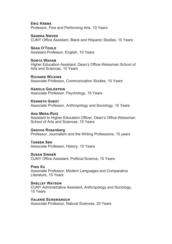**ERIC KREBS** Professor, Fine and Performing Arts, 10 Years

**SANDRA NIEVES** CUNY Office Assistant, Black and Hispanic Studies, 10 Years

**SEAN O'TOOLE** Assistant Professor, English, 10 Years

SONYA WAHAR Higher Education Assistant, Dean's Office-Weissman School of Arts and Sciences, 10 Years

**RICHARD WILKINS** Associate Professor, Communication Studies, 10 Years

**HAROLD GOLDSTEIN** Associate Professor, Psychology, 15 Years

**KENNETH GUEST** Associate Professor, Anthropology and Sociology, 15 Years

**ANA MERA-RUIZ** Assistant to Higher Education Officer, Dean's Office-Weissman School of Arts and Sciences, 15 Years

**Geanne Rosenberg**  Professor, Journalism and the Writing Professions, 15 years

**TANSEN SEN** Associate Professor, History, 15 Years

**SUSAN SINGER** CUNY Office Assistant, Political Science, 15 Years

**PING XU** Associate Professor, Modern Languages and Comparative Literature, 15 Years

**SHELLEY WATSON** CUNY Administrative Assistant, Anthropology and Sociology, 15 Years

**VALERIE SCHAWAROCH** Associate Professor, Natural Sciences, 20 Years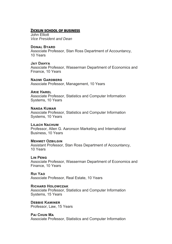# **ZICKLIN SCHOOL OF BUSINESS**

John Elliott *Vice President and Dean* 

# **DONAL BYARD**

Associate Professor, Stan Ross Department of Accountancy, 10 Years

# **JAY DAHYA**

Associate Professor, Wasserman Department of Economics and Finance, 10 Years

#### **NAOMI GARDBERG**

Associate Professor, Management, 10 Years

#### **ARIF HARFI**

Associate Professor, Statistics and Computer Information Systems, 10 Years

# **NANDA KIIMAR**

Associate Professor, Statistics and Computer Information Systems, 10 Years

# LII ACH NACHUM

Professor, Allen G. Aaronson Marketing and International Business, 10 Years

# **MEHMET OZBILGIN**

Assistant Professor, Stan Ross Department of Accountancy, 10 Years

#### **LIN PENG**

Associate Professor, Wasserman Department of Economics and Finance, 10 Years

**RUI YAO** Associate Professor, Real Estate, 10 Years

#### **RICHARD HOLOWCZAK**

Associate Professor, Statistics and Computer Information Systems, 15 Years

**DEBBIE KAMINER** Professor, Law, 15 Years

**PAI CHUN MA** Associate Professor, Statistics and Computer Information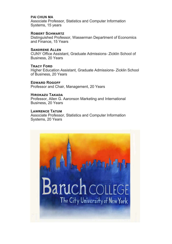# **PAI CHUN MA**

Associate Professor, Statistics and Computer Information Systems, 15 years

# **ROBERT SCHWARTZ**

Distinguished Professor, Wasserman Department of Economics and Finance, 15 Years

# **SANDRENE ALLEN**

CUNY Office Assistant, Graduate Admissions- Zicklin School of Business, 20 Years

**TRACY FORD** Higher Education Assistant, Graduate Admissions- Zicklin School of Business, 20 Years

**EDWARD ROGOFF** Professor and Chair, Management, 20 Years

# **HIROKAZU TAKADA**

Professor, Allen G. Aaronson Marketing and International Business, 20 Years

# **LAWRENCE TATUM**

Associate Professor, Statistics and Computer Information Systems, 20 Years

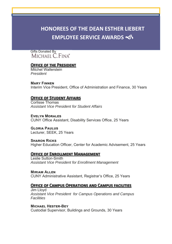# **HONOREES OF THE DEAN ESTHER LIEBERT EMPLOYEE SERVICE AWARDS**

Gifts Donated By<br>MICHAEL C. FINA®

# **OFFICE OF THE PRESIDENT**

Mitchel Wallerstein *President* 

**MARY FINNEN** Interim Vice President, Office of Administration and Finance, 30 Years

# **OFFICE OF STUDENT AFFAIRS**

Corlisse Thomas *Assistant Vice President for Student Affairs* 

**EVELYN MORAL ES** CUNY Office Assistant, Disability Services Office, 25 Years

**GLORIA PAULUS** Lecturer, SEEK, 25 Years

**SHARON RICKS** Higher Education Officer, Center for Academic Advisement, 25 Years

# **OFFICE OF ENROLLMENT MANAGEMENT**

Leslie Sutton-Smith *Assistant Vice President for Enrollment Management* 

**MIRIAM ALLEN** CUNY Administrative Assistant, Registrar's Office, 25 Years

# **OFFICE OF CAMPUS OPERATIONS AND CAMPUS FACILITIES**

Jim Lloyd *Assistant Vice President for Campus Operations and Campus Facilities* 

# **MICHAEL HESTER-BEY**

Custodial Supervisor, Buildings and Grounds, 30 Years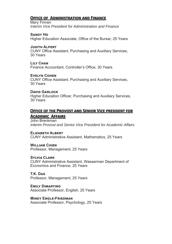# **OFFICE OF ADMINISTRATION AND FINANCE**

Mary Finnen *Interim Vice President for Administration and Finance* 

**SANDY HO** Higher Education Associate, Office of the Bursar, 25 Years

**JUDITH ALPERT** CUNY Office Assistant, Purchasing and Auxiliary Services, 30 Years

**LIIY CHAN** Finance Accountant, Controller's Office, 30 Years

**EVELYN COHEN** CUNY Office Assistant, Purchasing and Auxiliary Services, 30 Years

#### **DAVID GARLOCK**

Higher Education Officer, Purchasing and Auxiliary Services, 30 Years

# **OFFICE OF THE PROVOST AND SENIOR VICE PRESIDENT FOR**

# **ACADEMIC AFFAIRS**

John Brenkman *Interim Provost and Senior Vice President for Academic Affairs* 

# **ELIZABETH ALBERT**

CUNY Administrative Assistant, Mathematics, 25 Years

# **WILLIAM CHIFN**

Professor, Management, 25 Years

# **SYLVIA CLARK**

CUNY Administrative Assistant, Wasserman Department of Economics and Finance, 25 Years

**T.K. DAS** 

Professor, Management, 25 Years

**EMILY DIMARTINO** 

Associate Professor, English, 25 Years

**MINDY ENGLE-FRIEDMAN** Associate Professor, Psychology, 25 Years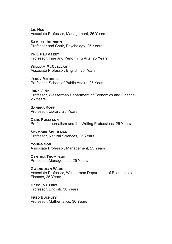**Lif Hsu** Associate Professor, Management, 25 Years

**SAMUEL JOHNSON** Professor and Chair, Psychology, 25 Years

**PHILIP LAMBERT** Professor, Fine and Performing Arts, 25 Years

**WILLIAM MCCLELLAN** Associate Professor, English, 25 Years

**JERRY MITCHELL** Professor, School of Public Affairs, 25 Years

**JUNE O'NEILL** Professor, Wasserman Department of Economics and Finance, 25 Years

**SANDRA ROFF** Professor, Library, 25 Years

**CARL ROLLYSON** Professor, Journalism and the Writing Professions, 25 Years

**SEYMOUR SCHULMAN** Professor, Natural Sciences, 25 Years

**YOUNG SON** Associate Professor, Management, 25 Years

**CYNTHIA THOMPSON** Professor, Management, 25 Years

**GWENDOLYN WEBB** Associate Professor, Wasserman Department of Economics and Finance, 25 Years

**HAROLD BRENT** Professor, English, 30 Years

**FRED BUCKLEY** Professor, Mathematics, 30 Years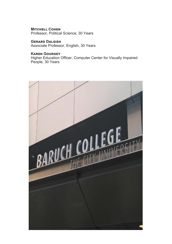**MITCHELL COHEN** Professor, Political Science, 30 Years

**GERARD DALGISH** Associate Professor, English, 30 Years

# **KAREN GOURGEY**

Higher Education Officer, Computer Center for Visually Impaired People, 30 Years

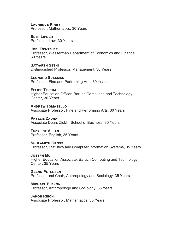**LAURENCE KIRBY** Professor, Mathematics, 30 Years

**SETH LIPNER** Professor, Law, 30 Years

**JOEL RENTZLER** Professor, Wasserman Department of Economics and Finance, 30 Years

SATYARTH SETHI Distinguished Professor, Management, 30 Years

**LEONARD SUSSMAN** Professor, Fine and Performing Arts, 30 Years

**FELIPE TEJERA** Higher Education Officer, Baruch Computing and Technology Center, 30 Years

**ANDREW TOMASELLO** Associate Professor, Fine and Performing Arts, 30 Years

**PHYLLIS ZADRA** Associate Dean, Zicklin School of Business, 30 Years

**TUZYLINE ALLAN** Professor, English, 35 Years

**SHIII AMITH GROSS** Professor, Statistics and Computer Information Systems, 35 Years

**JOSEPH MUL** Higher Education Associate, Baruch Computing and Technology Center, 35 Years

**GI FNN PETERSEN** Professor and Chair, Anthropology and Sociology, 35 Years

**MICHAEL PLEKON** Professor, Anthropology and Sociology, 35 Years

**JAKOB REICH** Associate Professor, Mathematics, 35 Years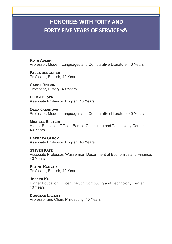# **HONOREES WITH FORTY AND FORTY FIVE YEARS OF SERVICE**

**RUTH ADI FR** Professor, Modern Languages and Comparative Literature, 40 Years

**PAULA BERGGREN** Professor, English, 40 Years

CAROL B**FRKIN** Professor, History, 40 Years

**ELLEN BLOCK** Associate Professor, English, 40 Years

**OLGA CASANOVA** Professor, Modern Languages and Comparative Literature, 40 Years

**MICHELE EPSTEIN** Higher Education Officer, Baruch Computing and Technology Center, 40 Years

**BARBARA GLUCK** Associate Professor, English, 40 Years

**STEVEN KATZ** Associate Professor, Wasserman Department of Economics and Finance, 40 Years

**ELAINE KAUVAR** Professor, English, 40 Years

**JOSEPH KIJ** Higher Education Officer, Baruch Computing and Technology Center, 40 Years

**DOUGLAS LACKEY** Professor and Chair, Philosophy, 40 Years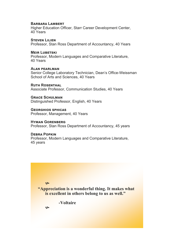#### **BARBARA LAMBERT**

Higher Education Officer, Starr Career Development Center, 40 Years

#### **STEVEN LILIEN**

Professor, Stan Ross Department of Accountancy, 40 Years

#### **MEIR LUBETSKI**

Professor, Modern Languages and Comparative Literature, 40 Years

#### **ALAN PEARLMAN**

Senior College Laboratory Technician, Dean's Office-Weissman School of Arts and Sciences, 40 Years

# **RUTH ROSENTHAL**

Associate Professor, Communication Studies, 40 Years

#### **GRACE SCHULMAN**

Distinguished Professor, English, 40 Years

**GEORGHIOS SPHICAS** Professor, Management, 40 Years

#### **HYMAN GORENBERG** Professor, Stan Ross Department of Accountancy, 45 years

#### **DEBRA POPKIN**

ھي

Professor, Modern Languages and Comparative Literature, 45 years

ھ  **"Appreciation is a wonderful thing. It makes what is excellent in others belong to us as well."** 

 **-Voltaire**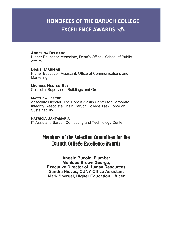# **HONOREES OF THE BARUCH COLLEGE EXCELLENCE AWARDS**

# **ANGELINA DELGADO**

Higher Education Associate, Dean's Office- School of Public Affairs

#### **DIANE HARRIGAN**

Higher Education Assistant, Office of Communications and **Marketing** 

**MICHAEL HESTER-BEY** Custodial Supervisor, Buildings and Grounds

#### **MATTHEW LEPERE**

Associate Director, The Robert Zicklin Center for Corporate Integrity, Associate Chair, Baruch College Task Force on **Sustainability** 

**PATRICIA SANTAMARIA** IT Assistant, Baruch Computing and Technology Center

# Members of the Selection Committee for the Baruch College Excellence Awards

**Angelo Bucolo, Plumber Monique Brown George, Executive Director of Human Resources Sandra Nieves, CUNY Office Assistant Mark Spergel, Higher Education Officer**